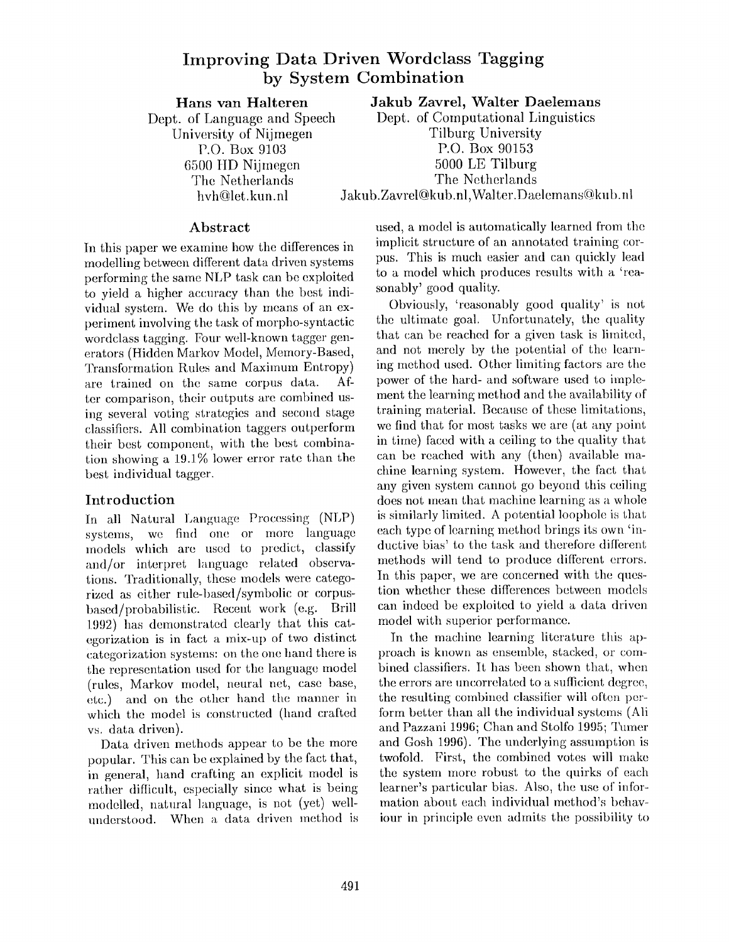# **Improving Data Driven Wordclass Tagging by System Combination**

**Hans van Halteren**  Dept. of Language and Speech University of Nijmegen P.O. Box 9103 6500 IID Nijmegen The Netherlands hvh@let, kun. nl

**Jakub Zavrel, Walter Daelemans** 

Dept. of Computational Linguistics Tilburg University P.O. Box 90153 5000 LE Tilburg The Netherlands Jakub.Zavrel@kub.nl,Walter.Daelemans(@kub. nl

## **Abstract**

In this paper we examine how the differences in modelling between different data driven systems performing the same NLP task can be exploited to yield a higher accuracy than the best individual system. We do this by means of an experiment involving the task of morpho-syntactic wordclass tagging. Four well-known tagger generators (Hidden Markov Model, Memory-Based, Transformation Rules and Maximum Entropy) are trained on the same corpus data. After comparison, their outputs are combined using several voting strategies and second stage classifiers. All combination taggers outperform their best component, with the best combination showing a 19.1% lower error rate than the best individual tagger.

## **Introduction**

In all Natural Language Processing (NLP) systems, we find one or more language models which are used to predict, classify and/or interpret language related observations. Traditionally, these models were categorized as either rule-based/symbolic or corpusbased/probabilistie. Recent work (e.g. Brill 1.992) has demonstrated clearly that this categorization is in fact a mix-up of two distinct categorization systems: on the one hand there is the representation used for the language model (rules, Markov model, neural net, case base, etc.) and on the other hand the manner in which the model is constructed (hand crafted vs. data driven).

Data driven methods appear to be the more popular. This can be explained by the fact that, in general, hand crafting an explicit model is rather difficult, especially since what is being modelled, natural language, is not (yet) wellunderstood. When a data driven method is used, a model is automatically learned from the implicit structure of an annotated training corpus. This is much easier and can quickly lead to a model which produces results with a 'reasonably' good quality.

Obviously, 'reasonably good quality' is not the ultimate goal. Unfortunately, the quality that can be reached for a given task is limited, and not merely by the potential of the learning method used. Other limiting factors are the power of the hard- and software used to implement the learning method and the availability of training material. Because of these limitations, we find that for most tasks we are (at any point in time) faced with a ceiling to the quality that can be reached with any (then) available machine learning system. However, the fact that any given system cannot go beyond this ceiling does not mean that machine learning as a whole is similarly limited. A potential loophole is that each type of learning method brings its own 'inductive bias' to the task and therefore different methods will tend to produce different errors. In this paper, we are concerned with the question whether these differences between models can indeed be exploited to yield a data driven model with superior performance.

In the machine learning literature this approach is known as ensemble, stacked, or combined classifiers. It has been shown that, when the errors are uncorrelated to a sufficient degree, the resulting combined classifier will often perform better than all the individual systems (All and Pazzani 1996; Chan and Stolfo 1995; Turner and Gosh 1996). The underlying assumption is twofold. First, the combined votes will make the system more robust to the quirks of each learner's particular bias. Also, the use of information about each individual method's behaviour in principle even admits the possibility to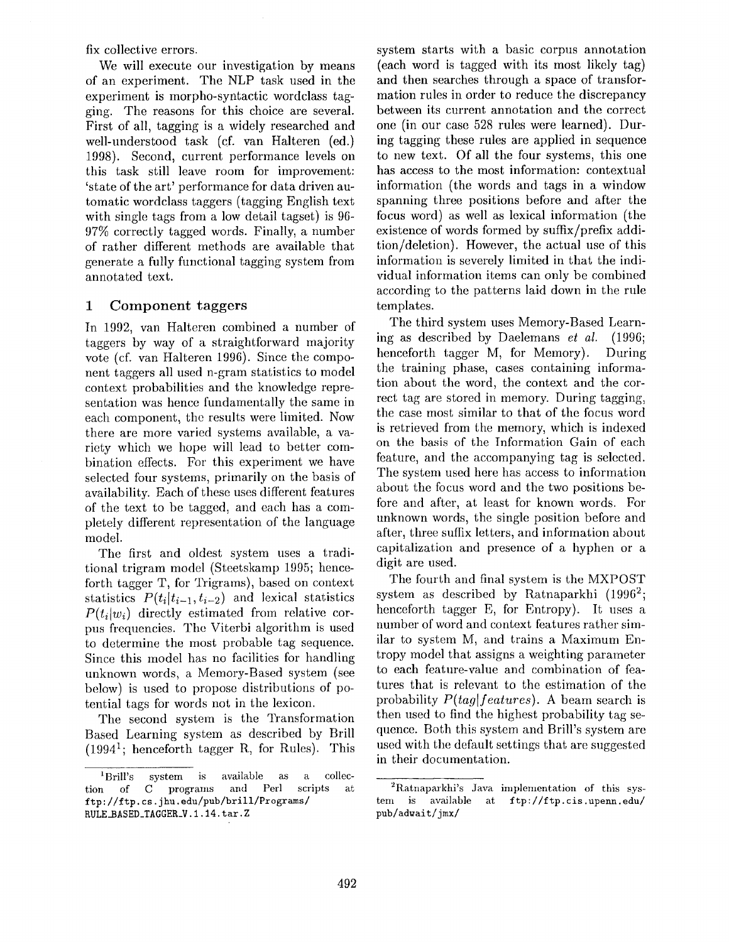fix collective errors.

We will execute our investigation by means of an experiment. The NLP task used in the experiment is morpho-syntactic wordclass tagging. The reasons for this choice are several. First of all, tagging is a widely researched and well-understood task (cf. van Halteren (ed.) 1998). Second, current performance levels on this task still leave room for improvement: 'state of the art' performance for data driven automatic wordclass taggers (tagging English text with single tags from a low detail tagset) is 96- 97% correctly tagged words. Finally, a number of rather different methods are available that generate a fully functional tagging system from annotated text.

### **1 Component taggers**

In 1992, van Halteren combined a number of taggers by way of a straightforward majority vote (cf. van Halteren 1996). Since the component taggers all used n-gram statistics to model context probabilities and the knowledge representation was hence fundamentally the same in each component, the results were limited. Now there are more varied systems available, a variety which we hope will lead to better combination effects. For this experiment we have selected four systems, primarily on the basis of availability. Each of these uses different features of the text to be tagged, and each has a completely different representation of the language model.

The first and oldest system uses a traditional trigram model (Steetskamp 1995; henceforth tagger T, for Trigrams), based on context statistics  $P(t_i|t_{i-1}, t_{i-2})$  and lexical statistics  $P(t_i|w_i)$  directly estimated from relative corpus frequencies. The Viterbi algorithm is used to determine the most probable tag sequence. Since this model has no facilities for handling unknown words, a Memory-Based system (see below) is used to propose distributions of potential tags for words not in the lexicon.

The second system is the Transformation Based Learning system as described by Brill  $(1994<sup>1</sup>)$ ; henceforth tagger R, for Rules). This system starts with a basic corpus annotation (each word is tagged with its most likely tag) and then searches through a space of transformation rules in order to reduce the discrepancy between its current annotation and the correct one (in our case 528 rules were learned). During tagging these rules are applied in sequence to new text. Of all the four systems, this one has access to the most information: contextual information (the words and tags in a window spanning three positions before and after the focus word) as well as lexical information (the existence of words formed by suffix/prefix addition/deletion). However, the actual use of this information is severely limited in that the individual information items can only be combined according to the patterns laid down in the rule templates.

The third system uses Memory-Based Learning as described by Daelemans *et al.* (1996; henceforth tagger M, for Memory). During the training phase, cases containing information about the word, the context and the correct tag are stored in memory. During tagging, the case most similar to that of the focus word is retrieved from the memory, which is indexed on the basis of the Information Gain of each feature, and the accompanying tag is selected. The system used here has access to information about the focus word and the two positions before and after, at least for known words. For unknown words, the single position before and after, three suffix letters, and information about capitalization and presence of a hyphen or a digit are used.

The fourth and final system is the MXPOST system as described by Ratnaparkhi  $(1996^2;$ henceforth tagger E, for Entropy). It uses a number of word and context features rather similar to system M, and trains a Maximum Entropy model that assigns a weighting parameter to each feature-value and combination of features that is relevant to the estimation of the probability  $P(tag|features)$ . A beam search is then used to find the highest probability tag sequence. Both this system and Brill's system are used with the default settings that are suggested in their documentation.

<sup>1</sup>Brill's system is available as a collection of C programs and Perl scripts at ftp ://ftp. cs. j hu. edu/pub/brill/Programs/ RULE\_BASED\_TAGGER\_V.1.14. tar. Z

<sup>2</sup>Ratnaparkhi's Java implementation of this system is available at ftp://ftp, cis.upenn.edu/ pub/adwait/jmx/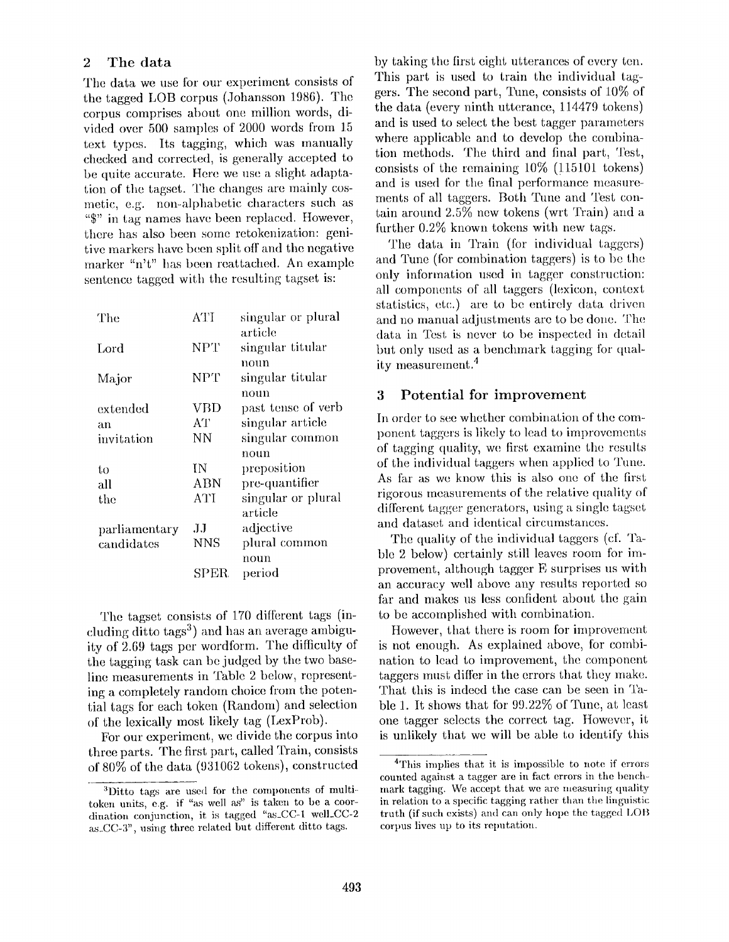## 2 The data

The data we use for our experiment consists of the tagged LOB corpus (Johansson 1986). The corpus comprises about one million words, divided over 500 samples of 2000 words from 15 text types. Its tagging, which was manually checked and corrected, is generally accepted to be quite accurate. Here we use a slight adaptation of the tagset. The changes are mainly cosmetic, e.g. non-alphabetic characters such as "\$" in tag names have been replaced. However, there has also been some retokenization: genitive markers have been split off and the negative marker "n't" has been reattached. An example sentence tagged with the resulting tagset is:

| The           | <b>ATI</b>  | singular or plural |
|---------------|-------------|--------------------|
|               |             | article            |
| $_{\rm Lord}$ | <b>NPT</b>  | singular titular   |
|               |             | noun               |
| Major         | <b>NPT</b>  | singular titular   |
|               |             | noun               |
| extended      | <b>VBD</b>  | past tense of verb |
| an            | AТ          | singular article   |
| invitation    | NΝ          | singular common    |
|               |             | noun               |
| to            | ΙN          | preposition        |
| all           | ABN         | pre-quantifier     |
| the           | ATI         | singular or plural |
|               |             | article            |
| parliamentary | .H          | adjective          |
| candidates    | <b>NNS</b>  | plural common      |
|               |             | noun               |
|               | <b>SPER</b> | period             |

The tagset consists of 170 different tags (including ditto tags<sup>3</sup>) and has an average ambiguity of 2.69 tags per wordform. The difficulty of the tagging task can be judged by the two baseline measurements in Table 2 below, representing a completely random choice from the potential tags for each token (Random) and selection of the lexically most likely tag (LexProb).

For our experiment, we divide the corpus into three parts. The first part, called Train, consists of 80% of the data (931062 tokens), constructed by taking the first eight utterances of every ten. This part is used to train the individual taggers. The second part, Tune, consists of 10% of the data (every ninth utterance, 114479 tokens) and is used to select the best tagger parameters where applicable and to develop the combination methods. The third and final part, Test, consists of the remaining  $10\%$  (115101 tokens) and is used for the final performance measurements of all taggers. Both Tune and Test contain around 2.5% new tokens (wrt Train) and a further  $0.2\%$  known tokens with new tags.

The data in Train (for individual taggers) and Tune (for combination taggers) is to be the only information used in tagger construction: all components of all taggers (lexicon, context statistics, etc.) are to be entirely data driven and no manual adjustments are to be done. The data in Test is never to be inspected in detail but only used as a benchmark tagging for quality measurement. 4

## **3 Potential for improvement**

In order to see whether combination of the component taggers is likely to lead to improvements of tagging quality, we. first examine the results of the individual taggers when applied to Tune. As far as we know this is also one of the first rigorous measnrements of the relative quality of different tagger generators, using a single tagset and dataset and identical circumstances.

The quality of the individual taggers (cf. Table 2 below) certainly still leaves room for improvement, although tagger E surprises us with an accuracy well above any results reported so far and makes us less confident about the gain to be accomplished with combination.

However, that there is room for improvement is not enough. As explained above, for combination to lead to improvement, the component taggers must differ in the errors that they make. That this is indeed the case can be seen in Table 1. It shows that for 99.22% of Tune, at least one tagger selects the correct tag. However, it is unlikely that we will be able to identify this

<sup>3</sup>Ditto tags are used for the components of multitoken units, e.g. if "as well as" is taken to be a coordination conjunction, it is tagged "as\_CC-1 well\_CC-2 as\_CC-3", using three related but different ditto tags.

<sup>4</sup>This implies that it is impossible to note if errors counted against a tagger are in fact errors in the benchmark tagging. We accept that we are measuring quality in relation to a specific tagging rather than the linguistic truth (if such exists) and can only hope the tagged LOB corpus lives up to its reputation.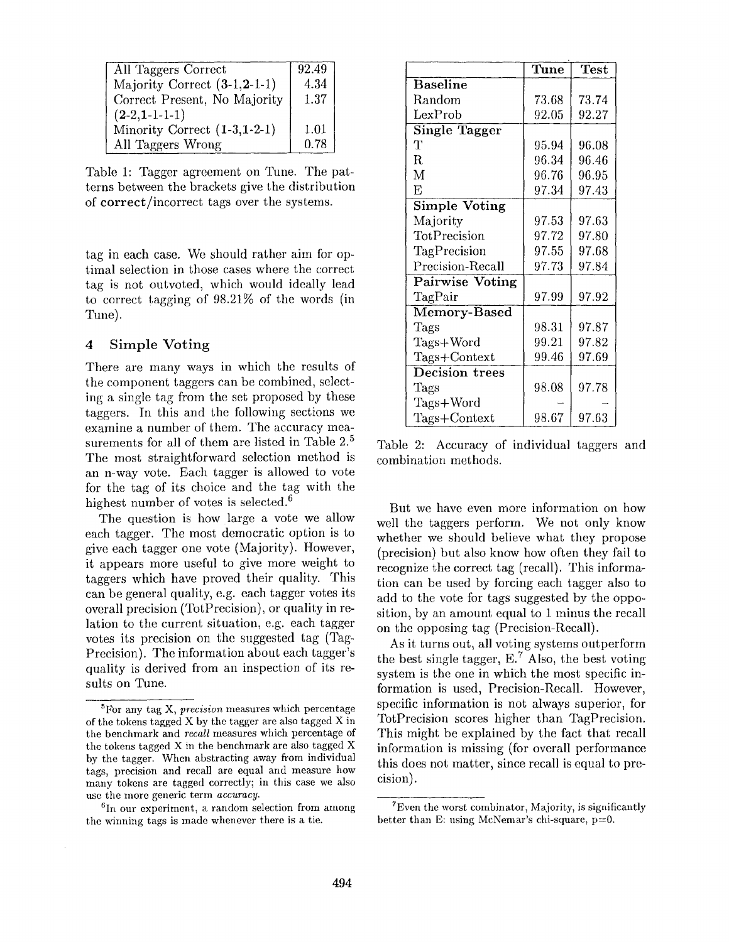| All Taggers Correct            | 92.49 |
|--------------------------------|-------|
| Majority Correct $(3-1,2-1-1)$ | 4.34  |
| Correct Present, No Majority   | 1.37  |
| $(2-2,1-1-1-1)$                |       |
| Minority Correct $(1-3,1-2-1)$ | 1.01  |
| All Taggers Wrong              | 0.78  |

Table 1: Tagger agreement on Tune. The patterns between the brackets give the distribution of correct/incorrect tags over the systems.

tag in each case. We should rather aim for optimal selection in those cases where the correct tag is not outvoted, which would ideally lead to correct tagging of 98.21% of the words (in Tune).

### 4 Simple Voting

There are many ways in which the results of the component taggers can be combined, selecting a single tag from the set proposed by these taggers. In this and the following sections we examine a number of them. The accuracy measurements for all of them are listed in Table 2.<sup>5</sup> The most straightforward selection method is an n-way vote. Each tagger is allowed to vote for the tag of its choice and the tag with the highest number of votes is selected.<sup>6</sup>

The question is how large a vote we allow each tagger. The most democratic option is to give each tagger one vote (Majority). However, it appears more useful to give more weight to taggers which have proved their quality. This can be general quality, e.g. each tagger votes its overall precision (TotPrecision), or quality in relation to the current situation, e.g. each tagger votes its precision on the suggested tag (Tag-Precision). The information about each tagger's quality is derived from an inspection of its results on Tune.

|                        | $\overline{\text{Tune}}$ | <b>Test</b> |
|------------------------|--------------------------|-------------|
| <b>Baseline</b>        |                          |             |
| Random                 | 73.68                    | 73.74       |
| LexProb                | 92.05                    | 92.27       |
| <b>Single Tagger</b>   |                          |             |
| т                      | 95.94                    | 96.08       |
| R                      | 96.34                    | 96.46       |
| M                      | 96.76                    | 96.95       |
| Ε                      | 97.34                    | 97.43       |
| <b>Simple Voting</b>   |                          |             |
| Majority               | 97.53                    | 97.63       |
| TotPrecision           | 97.72                    | 97.80       |
| TagPrecision           | 97.55                    | 97.68       |
| Precision-Recall       | 97.73                    | 97.84       |
| <b>Pairwise Voting</b> |                          |             |
| TagPair                | 97.99                    | 97.92       |
| Memory-Based           |                          |             |
| Tags                   | 98.31                    | 97.87       |
| Tags+Word              | 99.21                    | 97.82       |
| Tags+Context           | 99.46                    | 97.69       |
| Decision trees         |                          |             |
| Tags                   | 98.08                    | 97.78       |
| $Tags+Word$            |                          |             |
| ${\rm Tags+Context}$   | 98.67                    | 97.63       |

Table 2: Accuracy of individual taggers and combination methods.

But we have even more information on how well the taggers perform. We not only know whether we should believe what they propose (precision) but also know how often they fail to recognize the correct tag (recall). This information can be used by forcing each tagger also to add to the vote for tags suggested by the opposition, by an amount equal to 1 minus the recall on the opposing tag (Precision-Recall).

As it turns out, all voting systems outperform the best single tagger,  $E^7$ . Also, the best voting system is the one in which the most specific information is used, Precision-Recall. However, specific information is not always superior, for TotPrecision scores higher than TagPrecision. This might be explained by the fact that recall information is missing (for overall performance this does not matter, since recall is equal to precision).

<sup>5</sup>For any tag X, *precision* measures which percentage of the tokens tagged X by the tagger are also tagged X in the benchmark and *recall* measures which percentage of the tokens tagged X in the benchmark are also tagged X by the tagger. When abstracting away from individual tags, precision and recall are equal and measure how many tokens are tagged correctly; in this case we also use the more generic term *accuracy.* 

 ${}^{6}$ In our experiment, a random selection from among the winning tags is made whenever there is a tie.

<sup>7</sup>Even the worst combinator, Majority, is significantly better than E: using McNemar's chi-square, p=0.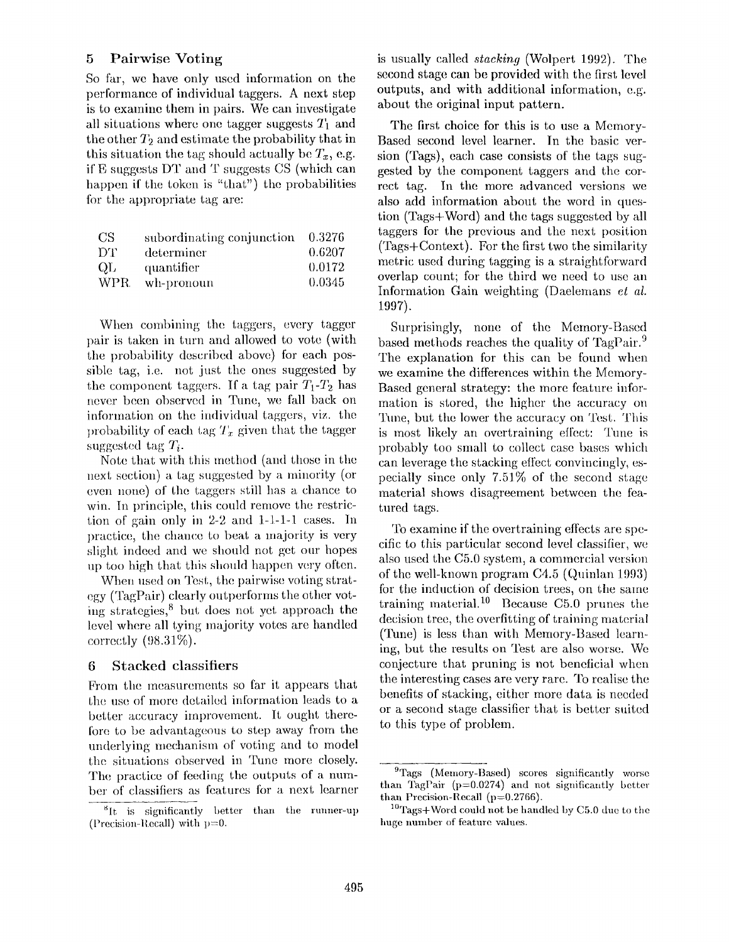## **5** Pairwise Voting

So far, we have only used information on the pertbrmance of individual taggers. A next step is to examine them in pairs. We can investigate all situations where one tagger suggests  $T_1$  and the other  $T_2$  and estimate the probability that in this situation the tag should actually be  $T_x$ , e.g. if  $E$  suggests DT and T suggests CS (which can happen if the token is "that") the probabilities for the appropriate tag are:

| CS.  | subordinating conjunction | 0.3276 |
|------|---------------------------|--------|
| DT.  | determiner                | 0.6207 |
| QL   | quantifier                | 0.0172 |
| WPR. | wh-pronoun                | 0.0345 |

When combining the taggers, every tagger pair is taken in turn and allowed to vote (with the probability described above) for each possible tag, i.e. not just the ones suggested by the component taggers. If a tag pair  $T_1$ - $T_2$  has never been observed in Tune, we fall back on information on the individual taggers, viz. the probability of each tag  $T_x$  given that the tagger suggested tag  $T_i$ .

Note that with this method (and those in the next section) a tag suggested by a minority (or even none) of the taggers still has a chance to win. In principle, this could remove the restriction of gain only in 2-2 and 1-1-1-1 cases. In practice, the chance to beat a majority is very slight indeed and we should not get our hopes up too high that this should happen very often.

When used on Test, the pairwise voting strategy (TagPair) clearly outperforms the other voting strategies, $<sup>8</sup>$  but does not yet approach the</sup> level where all tying majority votes are handled correctly (98.31%).

### **t3** Stacked classifiers

From the measurements so far it appears that the use of more detailed information leads to a better accuracy improvement. It ought therefore to be advantageous to step away from the underlying mechanism of voting and to model the situations observed in Tune more closely. The practice of feeding the outputs of a number of classifiers as features for a next learner is usually called *stacking* (Wolpert 1992). The second stage can be provided with the first level **outputs, and with additional information, e.g.**  about the original input pattern.

The first choice for this is to use a Memory-Based second level learner. In the basic version (Tags), each case consists of the tags suggested by the component taggers and the correct tag. In the more advanced versions we also add information about the word in question (Tags+Word) and the tags suggested by all taggers for the previous and the next position  $(Tags+Context)$ . For the first two the similarity metric used during tagging is a straightforward overlap count; for the third we need to use an Information Gain weighting (Daelemans *et al.*  1997).

Surprisingly, none of the Memory-Based based methods reaches the quality of TagPair.<sup>9</sup> The explanation for this can be found when we examine the differences within the Memory-Based general strategy: the more feature information is stored, the higher the accuracy on Tune, but the lower the accuracy on Test. This is most likely an overtraining effect: Tune is probably too small to collect case bases which can leverage the stacking effect convincingly, especially since only 7.51% of the second stage material shows disagreement between the featured tags.

To examine if the overtraining effects are specific to this particular second level classifier, we also used the C5.0 system, a commercial version of the well-known program  $C4.5$  (Quinlan 1993) for the induction of decision trees, on the same training material.<sup>10</sup> Because C5.0 prunes the decision tree, the overfitting of training material (Tune) is less than with Memory-Based learning, but the results on Test are also worse. We conjecture that pruning is not beneficial when the interesting cases are very rare. To realise the benefits of stacking, either more data is needed or a second stage classifier that is better suited to this type of problem.

 ${}^{8}$ It is significantly better than the runner-up (Precision-Recall) with  $p=0$ .

<sup>&</sup>lt;sup>9</sup>Tags (Memory-Based) scores significantly worse than TagPair  $(p=0.0274)$  and not significantly better than Precision-Recall (p=0.2766).

 $10Tags+Word$  could not be handled by C5.0 due to the huge number of feature values.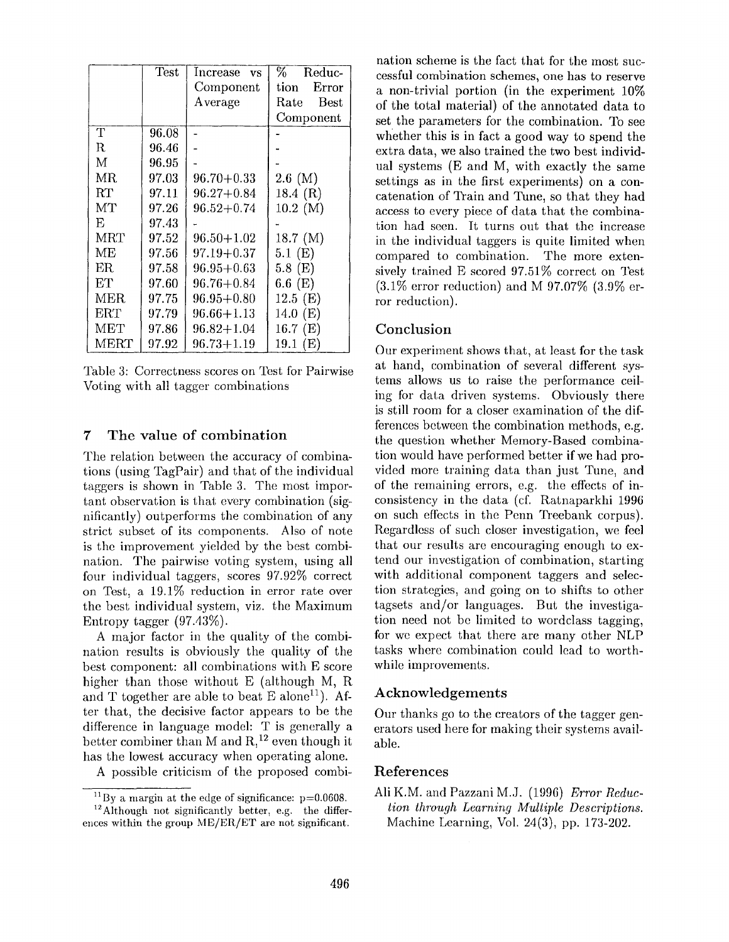|            | Test  | Increase<br><b>VS</b> | $\%$ .<br>Reduc-    |
|------------|-------|-----------------------|---------------------|
|            |       | Component             | Error<br>tion       |
|            |       | Average               | <b>Best</b><br>Rate |
|            |       |                       | Component           |
| Т          | 96.08 |                       |                     |
| R.         | 96.46 |                       |                     |
| Μ          | 96.95 |                       |                     |
| MR.        | 97.03 | $96.70 + 0.33$        | $2.6 \, (M)$        |
| RT         | 97.11 | $96.27 + 0.84$        | 18.4 $(R)$          |
| MT         | 97.26 | $96.52 + 0.74$        | $10.2 \, (M)$       |
| E          | 97.43 |                       |                     |
| <b>MRT</b> | 97.52 | $96.50 + 1.02$        | 18.7 (M)            |
| MЕ         | 97.56 | $97.19 + 0.37$        | $5.1 \; (E)$        |
| ER.        | 97.58 | $96.95 + 0.63$        | $5.8 \text{ (E)}$   |
| EТ         | 97.60 | $96.76 + 0.84$        | $6.6 \text{ (E)}$   |
| MER.       | 97.75 | $96.95 + 0.80$        | 12.5(E)             |
| ERT        | 97.79 | $96.66 + 1.13$        | 14.0 (E)            |
| MET        | 97.86 | $96.82 + 1.04$        | 16.7 $(E)$          |
| MERT       | 97.92 | $96.73 + 1.19$        | 19.1 $(E)$          |

Table 3: Correctness scores on Test for Pairwise Voting with all tagger combinations

## **7 The value of combination**

The relation between the accuracy of combinations (using TagPair) and that of the individual taggers is shown in Table 3. The most important observation is that every combination (significantly) outperforms the combination of any strict subset of its components. Also of note is the improvement yielded by the best combination. The pairwise voting system, using all four individual taggers, scores 97.92% correct on Test, a  $19.1\%$  reduction in error rate over the best individual system, viz. the Maximum Entropy tagger (97.43%).

A major factor in the quality of the combination results is obviously the quality of the best component: all combinations with E score higher than those without E (although M, R and T together are able to beat E alone<sup>11</sup>). After that, the decisive factor appears to be the difference in language model: T is generally a better combiner than M and  $R<sup>12</sup>$  even though it has the lowest accuracy when operating alone.

A possible criticism of the proposed combi-

nation scheme is the fact that for the most successful combination schemes, one has to reserve a non-trivial portion (in the experiment 10% of the total material) of the annotated data to set the parameters for the combination. To **see**  whether this is in fact a good way to spend the extra data, we also trained the two best individual systems (E and M, with exactly the same settings as in the first experiments) on a concatenation of Train and Tune, so that they had access to every piece of data that the combination had seen. It turns out that the increase in the individual taggers is quite limited when compared to combination. The more extensively trained E scored 97.51% correct on Test  $(3.1\%$  error reduction) and M 97.07\%  $(3.9\%$  error reduction).

## Conclusion

Our experiment shows that, at least for the task at hand, combination of several different systems allows us to raise the performance ceiling for data driven systems. Obviously there is still room for a closer examination of the differences between the combination methods, e.g. the question whether Memory-Based combination would have performed better if we had provided more training data than just Tune, and of the remaining errors, e.g. the effects of inconsistency in the data (cf. Ratnaparkhi 1996 on such etfects in the Penn Treebank corpus). Regardless of such closer investigation, we feel that our results are encouraging enough to extend our investigation of combination, starting with additional component taggers and selection strategies, and going on to shifts to other tagsets and/or languages. But the investigation need not be limited to wordclass tagging, for we expect that there are many other NLP tasks where combination could lead to worthwhile improvements.

## **Acknowledgements**

Our thanks go to the creators of the tagger generators used here for making their systems available.

## References

All K.M. and Pazzani M.J. (1996) *Error Reduction through Learning Multiple Descriptions.*  Machine Learning, Vol. 24(3), pp. 173-202.

 $11$  By a margin at the edge of significance:  $p=0.0608$ .

 $^{12}$ Although not significantly better, e.g. the differences within the group  $ME/ER/ET$  are not significant.